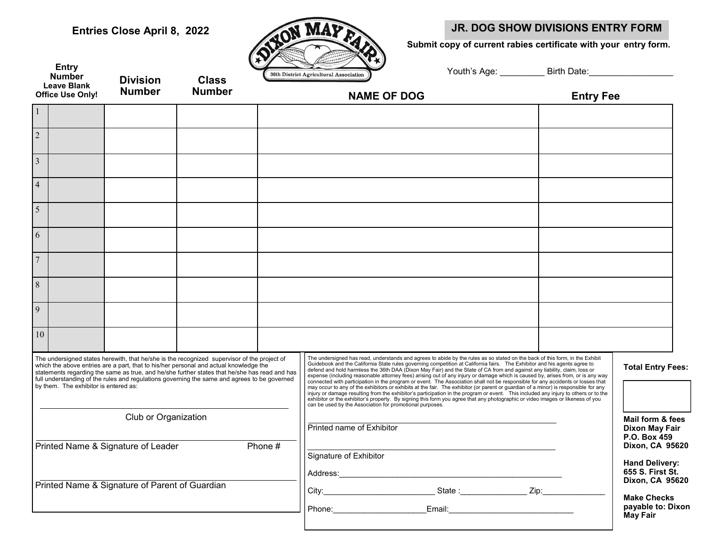**Entry Number**

## Entries Close April 8, 2022 **JR. DOG SHOW DIVISIONS ENTRY FORM**

 **Submit copy of current rabies certificate with your entry form.**

| ш                                      |
|----------------------------------------|
|                                        |
|                                        |
| 36th District Agricultural Association |

| Youth's Age: | Birth Date: |
|--------------|-------------|
|              |             |

|                         | <b>Number</b><br><b>Leave Blank</b><br><b>Office Use Only!</b> | <b>Division</b><br><b>Number</b>               | <b>Class</b><br><b>Number</b>                                                                                                                                                                                                                                                                                                                                                         |         | 36th District Agricultural Association<br><b>NAME OF DOG</b>                                                                                                                                                                                                                                                                                                                                                                                                                                                                                                                                                                                                                                                                                                                                                                                                                                                                                                                                                                                                                                                        | <b>Entry Fee</b> |                                                                                 |
|-------------------------|----------------------------------------------------------------|------------------------------------------------|---------------------------------------------------------------------------------------------------------------------------------------------------------------------------------------------------------------------------------------------------------------------------------------------------------------------------------------------------------------------------------------|---------|---------------------------------------------------------------------------------------------------------------------------------------------------------------------------------------------------------------------------------------------------------------------------------------------------------------------------------------------------------------------------------------------------------------------------------------------------------------------------------------------------------------------------------------------------------------------------------------------------------------------------------------------------------------------------------------------------------------------------------------------------------------------------------------------------------------------------------------------------------------------------------------------------------------------------------------------------------------------------------------------------------------------------------------------------------------------------------------------------------------------|------------------|---------------------------------------------------------------------------------|
| $\vert$ 1               |                                                                |                                                |                                                                                                                                                                                                                                                                                                                                                                                       |         |                                                                                                                                                                                                                                                                                                                                                                                                                                                                                                                                                                                                                                                                                                                                                                                                                                                                                                                                                                                                                                                                                                                     |                  |                                                                                 |
| $\overline{\mathbf{c}}$ |                                                                |                                                |                                                                                                                                                                                                                                                                                                                                                                                       |         |                                                                                                                                                                                                                                                                                                                                                                                                                                                                                                                                                                                                                                                                                                                                                                                                                                                                                                                                                                                                                                                                                                                     |                  |                                                                                 |
| $\overline{\mathbf{3}}$ |                                                                |                                                |                                                                                                                                                                                                                                                                                                                                                                                       |         |                                                                                                                                                                                                                                                                                                                                                                                                                                                                                                                                                                                                                                                                                                                                                                                                                                                                                                                                                                                                                                                                                                                     |                  |                                                                                 |
| $\overline{4}$          |                                                                |                                                |                                                                                                                                                                                                                                                                                                                                                                                       |         |                                                                                                                                                                                                                                                                                                                                                                                                                                                                                                                                                                                                                                                                                                                                                                                                                                                                                                                                                                                                                                                                                                                     |                  |                                                                                 |
| $\overline{\mathbf{5}}$ |                                                                |                                                |                                                                                                                                                                                                                                                                                                                                                                                       |         |                                                                                                                                                                                                                                                                                                                                                                                                                                                                                                                                                                                                                                                                                                                                                                                                                                                                                                                                                                                                                                                                                                                     |                  |                                                                                 |
| $\overline{6}$          |                                                                |                                                |                                                                                                                                                                                                                                                                                                                                                                                       |         |                                                                                                                                                                                                                                                                                                                                                                                                                                                                                                                                                                                                                                                                                                                                                                                                                                                                                                                                                                                                                                                                                                                     |                  |                                                                                 |
| $\overline{7}$          |                                                                |                                                |                                                                                                                                                                                                                                                                                                                                                                                       |         |                                                                                                                                                                                                                                                                                                                                                                                                                                                                                                                                                                                                                                                                                                                                                                                                                                                                                                                                                                                                                                                                                                                     |                  |                                                                                 |
| $\overline{8}$          |                                                                |                                                |                                                                                                                                                                                                                                                                                                                                                                                       |         |                                                                                                                                                                                                                                                                                                                                                                                                                                                                                                                                                                                                                                                                                                                                                                                                                                                                                                                                                                                                                                                                                                                     |                  |                                                                                 |
| $\overline{9}$          |                                                                |                                                |                                                                                                                                                                                                                                                                                                                                                                                       |         |                                                                                                                                                                                                                                                                                                                                                                                                                                                                                                                                                                                                                                                                                                                                                                                                                                                                                                                                                                                                                                                                                                                     |                  |                                                                                 |
| 10                      |                                                                |                                                |                                                                                                                                                                                                                                                                                                                                                                                       |         |                                                                                                                                                                                                                                                                                                                                                                                                                                                                                                                                                                                                                                                                                                                                                                                                                                                                                                                                                                                                                                                                                                                     |                  |                                                                                 |
|                         | by them. The exhibitor is entered as:                          |                                                | The undersigned states herewith, that he/she is the recognized supervisor of the project of<br>which the above entries are a part, that to his/her personal and actual knowledge the<br>statements regarding the same as true, and he/she further states that he/she has read and has<br>full understanding of the rules and regulations governing the same and agrees to be governed |         | The undersigned has read, understands and agrees to abide by the rules as so stated on the back of this form, in the Exhibit<br>Guidebook and the California State rules governing competition at California fairs. The Exhibitor and his agents agree to<br>defend and hold harmless the 36th DAA (Dixon May Fair) and the State of CA from and against any liab<br>expense (including reasonable attorney fees) arising out of any injury or damage which is caused by, arises from, or is any way<br>connected with participation in the program or event. The Association shall not be responsible for any accidents or losses that<br>may occur to any of the exhibitors or exhibits at the fair. The exhibitor (or parent or guardian of a minor) is responsible for any<br>injury or damage resulting from the exhibitor's participation in the program or event. This included any injury to others or to the<br>exhibitor or the exhibitor's property. By signing this form you agree that any photographic or video images or likeness of you<br>can be used by the Association for promotional purposes. |                  | <b>Total Entry Fees:</b>                                                        |
|                         |                                                                | Club or Organization                           |                                                                                                                                                                                                                                                                                                                                                                                       |         | Printed name of Exhibitor                                                                                                                                                                                                                                                                                                                                                                                                                                                                                                                                                                                                                                                                                                                                                                                                                                                                                                                                                                                                                                                                                           |                  | Mail form & fees<br>Dixon May Fair<br>P.O. Box 459                              |
|                         |                                                                | Printed Name & Signature of Leader             |                                                                                                                                                                                                                                                                                                                                                                                       | Phone # | Signature of Exhibitor                                                                                                                                                                                                                                                                                                                                                                                                                                                                                                                                                                                                                                                                                                                                                                                                                                                                                                                                                                                                                                                                                              |                  | Dixon, CA 95620<br><b>Hand Delivery:</b><br>655 S. First St.<br>Dixon, CA 95620 |
|                         |                                                                | Printed Name & Signature of Parent of Guardian |                                                                                                                                                                                                                                                                                                                                                                                       |         | Phone: Email: Email: Email: Email: Email: Email: Email: Email: Email: Email: Email: Email: Email: Email: Email: Email: Email: Email: Email: Email: Email: Email: Email: Email: Email: Email: Email: Email: Email: Email: Email                                                                                                                                                                                                                                                                                                                                                                                                                                                                                                                                                                                                                                                                                                                                                                                                                                                                                      |                  | <b>Make Checks</b><br>payable to: Dixon<br>May Fair                             |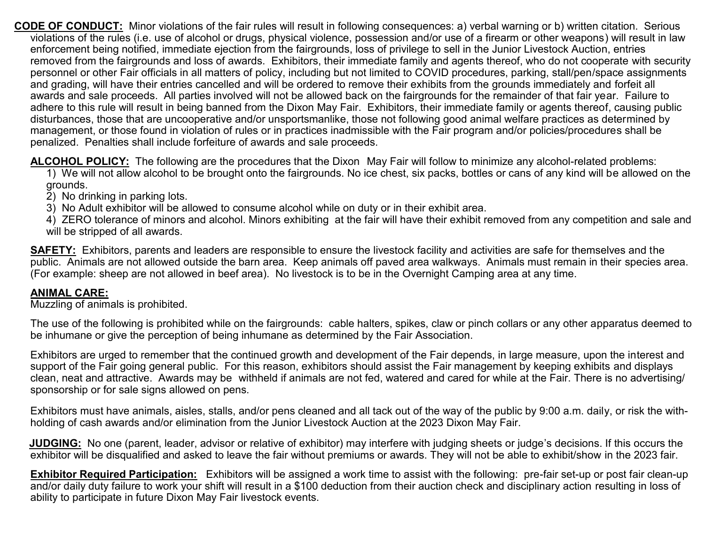**CODE OF CONDUCT:** Minor violations of the fair rules will result in following consequences: a) verbal warning or b) written citation. Serious violations of the rules (i.e. use of alcohol or drugs, physical violence, possession and/or use of a firearm or other weapons) will result in law enforcement being notified, immediate ejection from the fairgrounds, loss of privilege to sell in the Junior Livestock Auction, entries removed from the fairgrounds and loss of awards. Exhibitors, their immediate family and agents thereof, who do not cooperate with security personnel or other Fair officials in all matters of policy, including but not limited to COVID procedures, parking, stall/pen/space assignments and grading, will have their entries cancelled and will be ordered to remove their exhibits from the grounds immediately and forfeit all awards and sale proceeds. All parties involved will not be allowed back on the fairgrounds for the remainder of that fair year. Failure to adhere to this rule will result in being banned from the Dixon May Fair. Exhibitors, their immediate family or agents thereof, causing public disturbances, those that are uncooperative and/or unsportsmanlike, those not following good animal welfare practices as determined by management, or those found in violation of rules or in practices inadmissible with the Fair program and/or policies/procedures shall be penalized. Penalties shall include forfeiture of awards and sale proceeds.

**ALCOHOL POLICY:** The following are the procedures that the Dixon May Fair will follow to minimize any alcohol-related problems:

1) We will not allow alcohol to be brought onto the fairgrounds. No ice chest, six packs, bottles or cans of any kind will be allowed on the grounds.

2) No drinking in parking lots.

3) No Adult exhibitor will be allowed to consume alcohol while on duty or in their exhibit area.

4) ZERO tolerance of minors and alcohol. Minors exhibiting at the fair will have their exhibit removed from any competition and sale and will be stripped of all awards.

**SAFETY:** Exhibitors, parents and leaders are responsible to ensure the livestock facility and activities are safe for themselves and the public. Animals are not allowed outside the barn area. Keep animals off paved area walkways. Animals must remain in their species area. (For example: sheep are not allowed in beef area). No livestock is to be in the Overnight Camping area at any time.

## **ANIMAL CARE:**

Muzzling of animals is prohibited.

The use of the following is prohibited while on the fairgrounds: cable halters, spikes, claw or pinch collars or any other apparatus deemed to be inhumane or give the perception of being inhumane as determined by the Fair Association.

Exhibitors are urged to remember that the continued growth and development of the Fair depends, in large measure, upon the interest and support of the Fair going general public. For this reason, exhibitors should assist the Fair management by keeping exhibits and displays clean, neat and attractive. Awards may be withheld if animals are not fed, watered and cared for while at the Fair. There is no advertising/ sponsorship or for sale signs allowed on pens.

Exhibitors must have animals, aisles, stalls, and/or pens cleaned and all tack out of the way of the public by 9:00 a.m. daily, or risk the withholding of cash awards and/or elimination from the Junior Livestock Auction at the 2023 Dixon May Fair.

 **JUDGING:** No one (parent, leader, advisor or relative of exhibitor) may interfere with judging sheets or judge's decisions. If this occurs the exhibitor will be disqualified and asked to leave the fair without premiums or awards. They will not be able to exhibit/show in the 2023 fair.

**Exhibitor Required Participation:** Exhibitors will be assigned a work time to assist with the following: pre-fair set-up or post fair clean-up and/or daily duty failure to work your shift will result in a \$100 deduction from their auction check and disciplinary action resulting in loss of ability to participate in future Dixon May Fair livestock events.